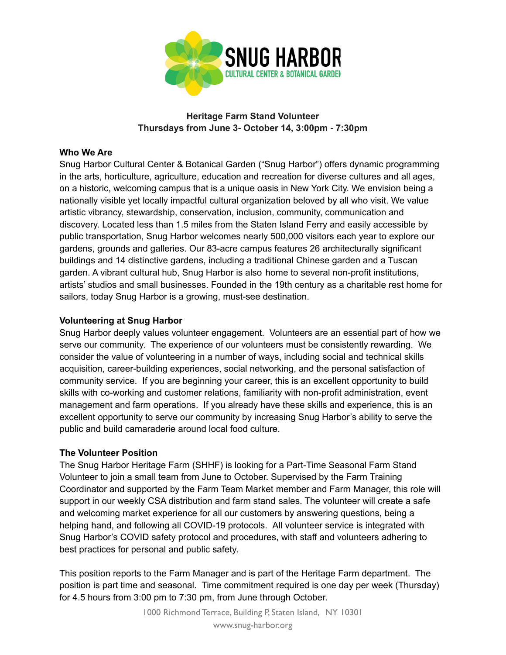

# **Heritage Farm Stand Volunteer Thursdays from June 3- October 14, 3:00pm - 7:30pm**

## **Who We Are**

Snug Harbor Cultural Center & Botanical Garden ("Snug Harbor") offers dynamic programming in the arts, horticulture, agriculture, education and recreation for diverse cultures and all ages, on a historic, welcoming campus that is a unique oasis in New York City. We envision being a nationally visible yet locally impactful cultural organization beloved by all who visit. We value artistic vibrancy, stewardship, conservation, inclusion, community, communication and discovery. Located less than 1.5 miles from the Staten Island Ferry and easily accessible by public transportation, Snug Harbor welcomes nearly 500,000 visitors each year to explore our gardens, grounds and galleries. Our 83-acre campus features 26 architecturally significant buildings and 14 distinctive gardens, including a traditional Chinese garden and a Tuscan garden. A vibrant cultural hub, Snug Harbor is also home to several non-profit institutions, artists' studios and small businesses. Founded in the 19th century as a charitable rest home for sailors, today Snug Harbor is a growing, must-see destination.

## **Volunteering at Snug Harbor**

Snug Harbor deeply values volunteer engagement. Volunteers are an essential part of how we serve our community. The experience of our volunteers must be consistently rewarding. We consider the value of volunteering in a number of ways, including social and technical skills acquisition, career-building experiences, social networking, and the personal satisfaction of community service. If you are beginning your career, this is an excellent opportunity to build skills with co-working and customer relations, familiarity with non-profit administration, event management and farm operations. If you already have these skills and experience, this is an excellent opportunity to serve our community by increasing Snug Harbor's ability to serve the public and build camaraderie around local food culture.

#### **The Volunteer Position**

The Snug Harbor Heritage Farm (SHHF) is looking for a Part-Time Seasonal Farm Stand Volunteer to join a small team from June to October. Supervised by the Farm Training Coordinator and supported by the Farm Team Market member and Farm Manager, this role will support in our weekly CSA distribution and farm stand sales. The volunteer will create a safe and welcoming market experience for all our customers by answering questions, being a helping hand, and following all COVID-19 protocols. All volunteer service is integrated with Snug Harbor's COVID safety protocol and procedures, with staff and volunteers adhering to best practices for personal and public safety.

This position reports to the Farm Manager and is part of the Heritage Farm department. The position is part time and seasonal. Time commitment required is one day per week (Thursday) for 4.5 hours from 3:00 pm to 7:30 pm, from June through October.